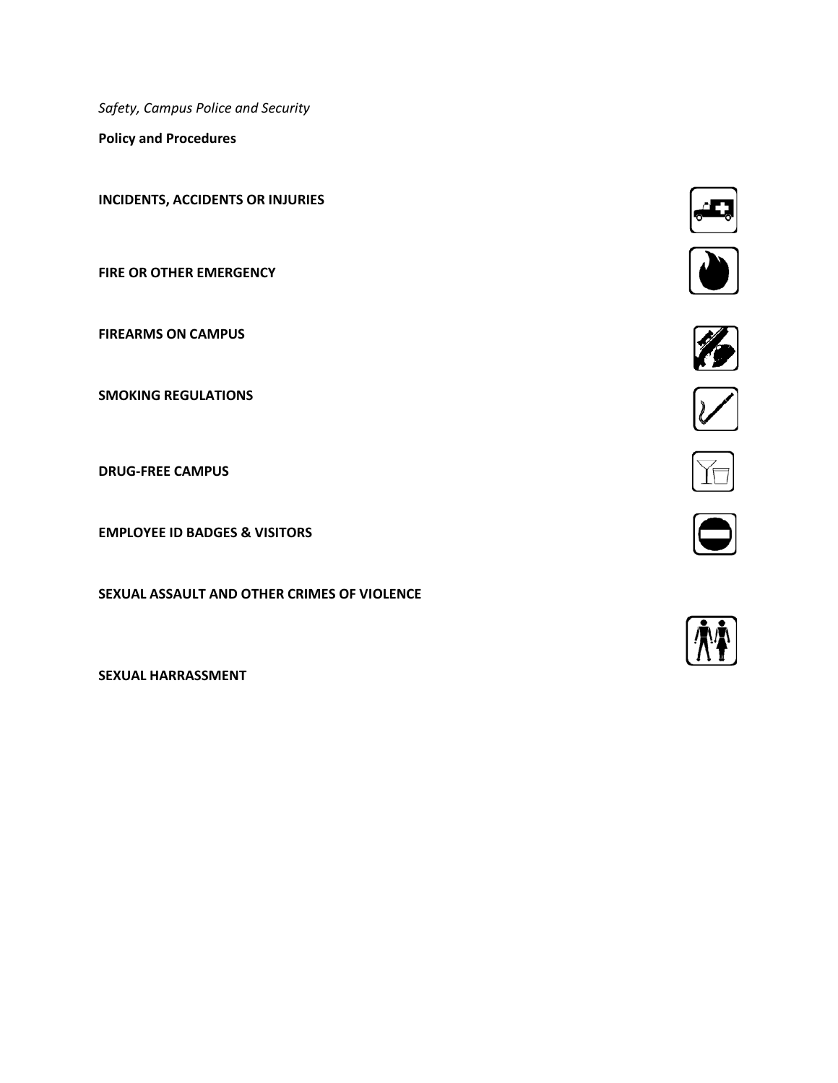*Safety, Campus Police and Security*

**Policy and Procedures**

**INCIDENTS, ACCIDENTS OR INJURIES**

**FIRE OR OTHER EMERGENCY**

**FIREARMS ON CAMPUS**

**SMOKING REGULATIONS**

**DRUG-FREE CAMPUS**

**EMPLOYEE ID BADGES & VISITORS**

**SEXUAL ASSAULT AND OTHER CRIMES OF VIOLENCE**

**SEXUAL HARRASSMENT**











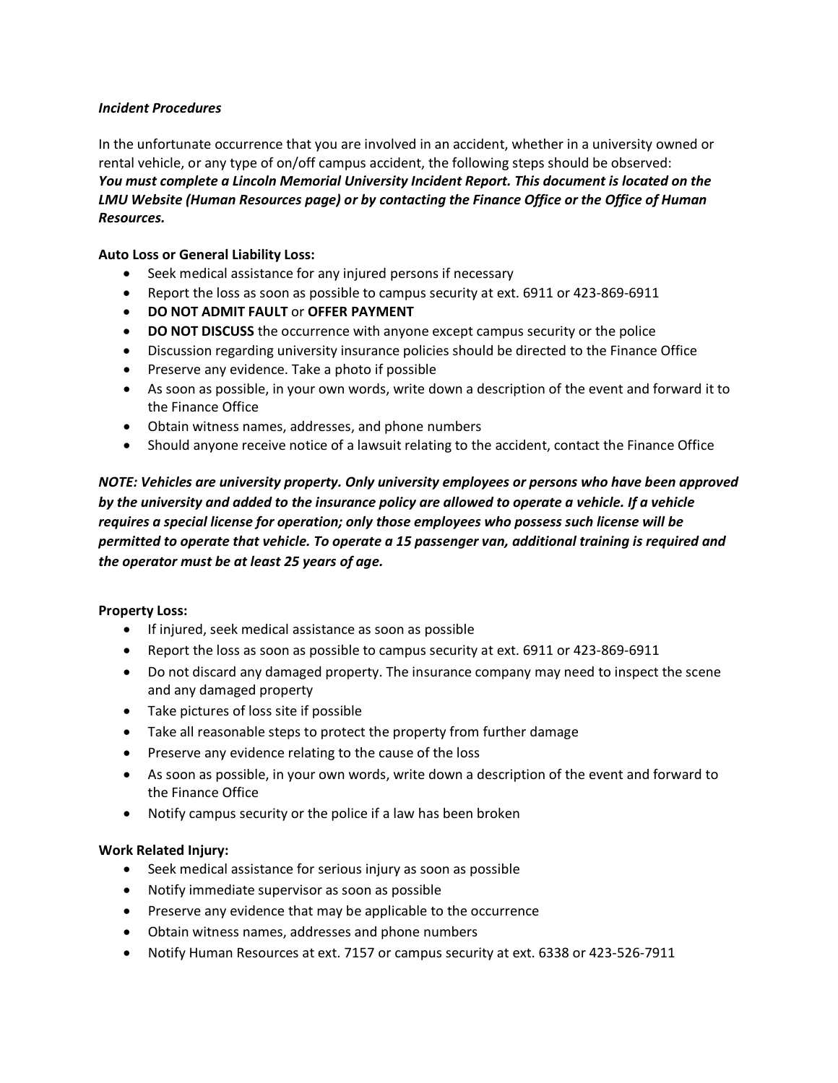## *Incident Procedures*

In the unfortunate occurrence that you are involved in an accident, whether in a university owned or rental vehicle, or any type of on/off campus accident, the following steps should be observed: *You must complete a Lincoln Memorial University Incident Report. This document is located on the LMU Website (Human Resources page) or by contacting the Finance Office or the Office of Human Resources.* 

# **Auto Loss or General Liability Loss:**

- Seek medical assistance for any injured persons if necessary
- Report the loss as soon as possible to campus security at ext. 6911 or 423-869-6911
- **DO NOT ADMIT FAULT** or **OFFER PAYMENT**
- **DO NOT DISCUSS** the occurrence with anyone except campus security or the police
- Discussion regarding university insurance policies should be directed to the Finance Office
- Preserve any evidence. Take a photo if possible
- As soon as possible, in your own words, write down a description of the event and forward it to the Finance Office
- Obtain witness names, addresses, and phone numbers
- Should anyone receive notice of a lawsuit relating to the accident, contact the Finance Office

*NOTE: Vehicles are university property. Only university employees or persons who have been approved by the university and added to the insurance policy are allowed to operate a vehicle. If a vehicle requires a special license for operation; only those employees who possess such license will be permitted to operate that vehicle. To operate a 15 passenger van, additional training is required and the operator must be at least 25 years of age.* 

## **Property Loss:**

- If injured, seek medical assistance as soon as possible
- Report the loss as soon as possible to campus security at ext. 6911 or 423-869-6911
- Do not discard any damaged property. The insurance company may need to inspect the scene and any damaged property
- Take pictures of loss site if possible
- Take all reasonable steps to protect the property from further damage
- Preserve any evidence relating to the cause of the loss
- As soon as possible, in your own words, write down a description of the event and forward to the Finance Office
- Notify campus security or the police if a law has been broken

## **Work Related Injury:**

- Seek medical assistance for serious injury as soon as possible
- Notify immediate supervisor as soon as possible
- Preserve any evidence that may be applicable to the occurrence
- Obtain witness names, addresses and phone numbers
- Notify Human Resources at ext. 7157 or campus security at ext. 6338 or 423-526-7911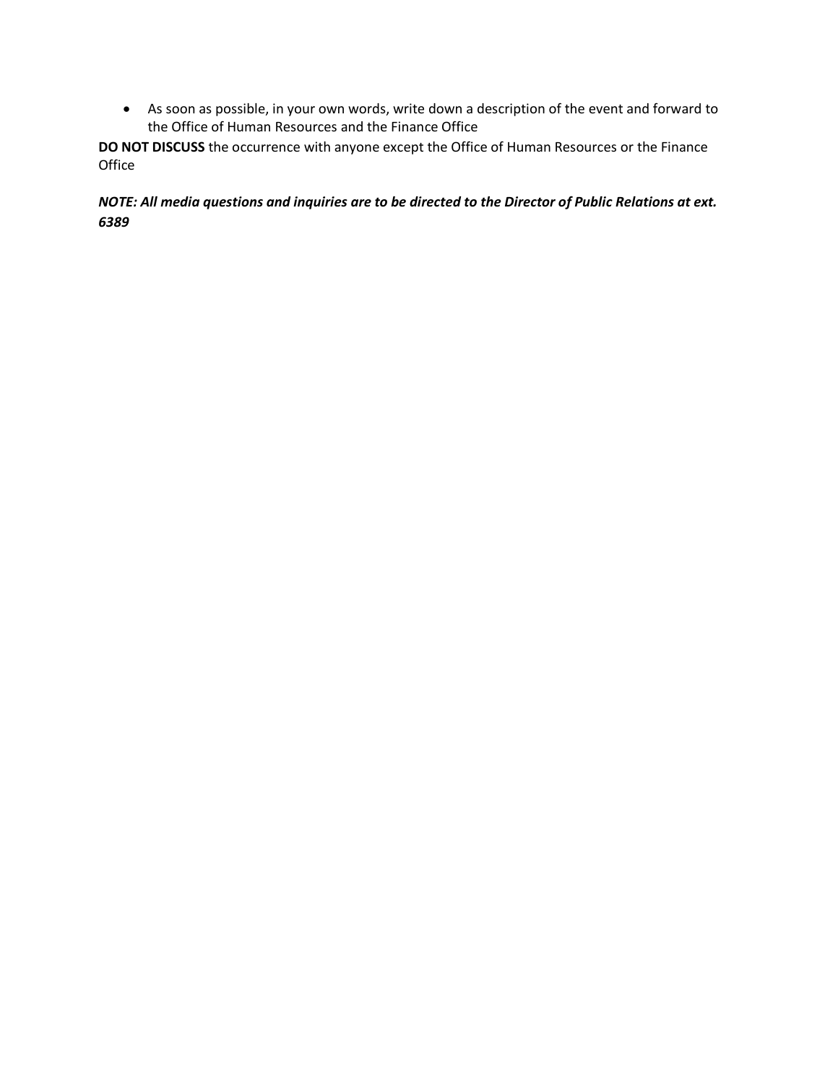• As soon as possible, in your own words, write down a description of the event and forward to the Office of Human Resources and the Finance Office

**DO NOT DISCUSS** the occurrence with anyone except the Office of Human Resources or the Finance Office

*NOTE: All media questions and inquiries are to be directed to the Director of Public Relations at ext. 6389*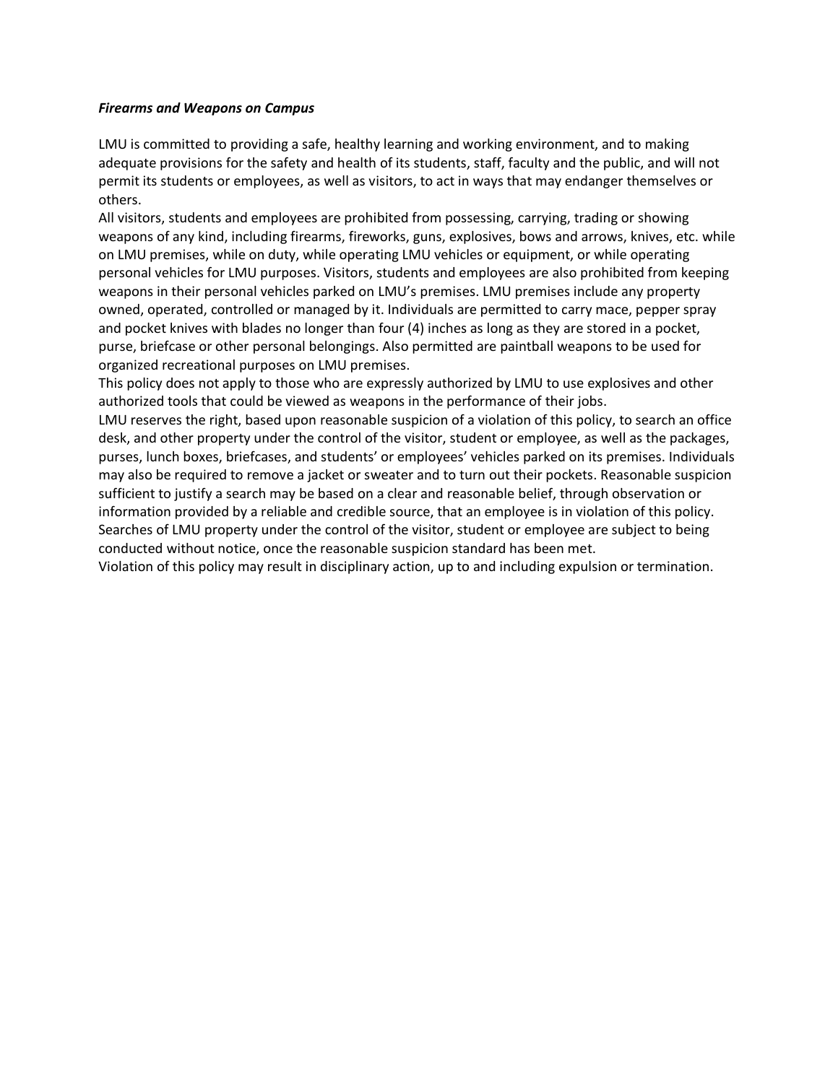#### *Firearms and Weapons on Campus*

LMU is committed to providing a safe, healthy learning and working environment, and to making adequate provisions for the safety and health of its students, staff, faculty and the public, and will not permit its students or employees, as well as visitors, to act in ways that may endanger themselves or others.

All visitors, students and employees are prohibited from possessing, carrying, trading or showing weapons of any kind, including firearms, fireworks, guns, explosives, bows and arrows, knives, etc. while on LMU premises, while on duty, while operating LMU vehicles or equipment, or while operating personal vehicles for LMU purposes. Visitors, students and employees are also prohibited from keeping weapons in their personal vehicles parked on LMU's premises. LMU premises include any property owned, operated, controlled or managed by it. Individuals are permitted to carry mace, pepper spray and pocket knives with blades no longer than four (4) inches as long as they are stored in a pocket, purse, briefcase or other personal belongings. Also permitted are paintball weapons to be used for organized recreational purposes on LMU premises.

This policy does not apply to those who are expressly authorized by LMU to use explosives and other authorized tools that could be viewed as weapons in the performance of their jobs.

LMU reserves the right, based upon reasonable suspicion of a violation of this policy, to search an office desk, and other property under the control of the visitor, student or employee, as well as the packages, purses, lunch boxes, briefcases, and students' or employees' vehicles parked on its premises. Individuals may also be required to remove a jacket or sweater and to turn out their pockets. Reasonable suspicion sufficient to justify a search may be based on a clear and reasonable belief, through observation or information provided by a reliable and credible source, that an employee is in violation of this policy. Searches of LMU property under the control of the visitor, student or employee are subject to being conducted without notice, once the reasonable suspicion standard has been met.

Violation of this policy may result in disciplinary action, up to and including expulsion or termination.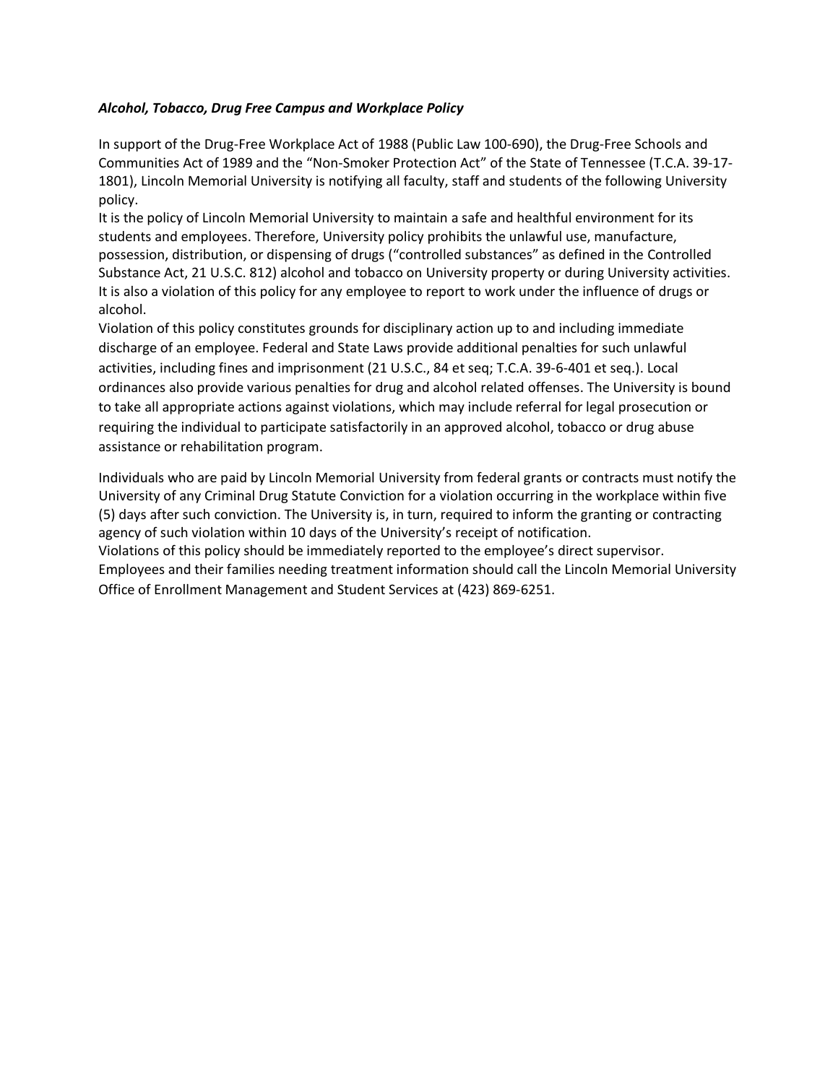# *Alcohol, Tobacco, Drug Free Campus and Workplace Policy*

In support of the Drug-Free Workplace Act of 1988 (Public Law 100-690), the Drug-Free Schools and Communities Act of 1989 and the "Non-Smoker Protection Act" of the State of Tennessee (T.C.A. 39-17- 1801), Lincoln Memorial University is notifying all faculty, staff and students of the following University policy.

It is the policy of Lincoln Memorial University to maintain a safe and healthful environment for its students and employees. Therefore, University policy prohibits the unlawful use, manufacture, possession, distribution, or dispensing of drugs ("controlled substances" as defined in the Controlled Substance Act, 21 U.S.C. 812) alcohol and tobacco on University property or during University activities. It is also a violation of this policy for any employee to report to work under the influence of drugs or alcohol.

Violation of this policy constitutes grounds for disciplinary action up to and including immediate discharge of an employee. Federal and State Laws provide additional penalties for such unlawful activities, including fines and imprisonment (21 U.S.C., 84 et seq; T.C.A. 39-6-401 et seq.). Local ordinances also provide various penalties for drug and alcohol related offenses. The University is bound to take all appropriate actions against violations, which may include referral for legal prosecution or requiring the individual to participate satisfactorily in an approved alcohol, tobacco or drug abuse assistance or rehabilitation program.

Individuals who are paid by Lincoln Memorial University from federal grants or contracts must notify the University of any Criminal Drug Statute Conviction for a violation occurring in the workplace within five (5) days after such conviction. The University is, in turn, required to inform the granting or contracting agency of such violation within 10 days of the University's receipt of notification.

Violations of this policy should be immediately reported to the employee's direct supervisor.

Employees and their families needing treatment information should call the Lincoln Memorial University Office of Enrollment Management and Student Services at (423) 869-6251.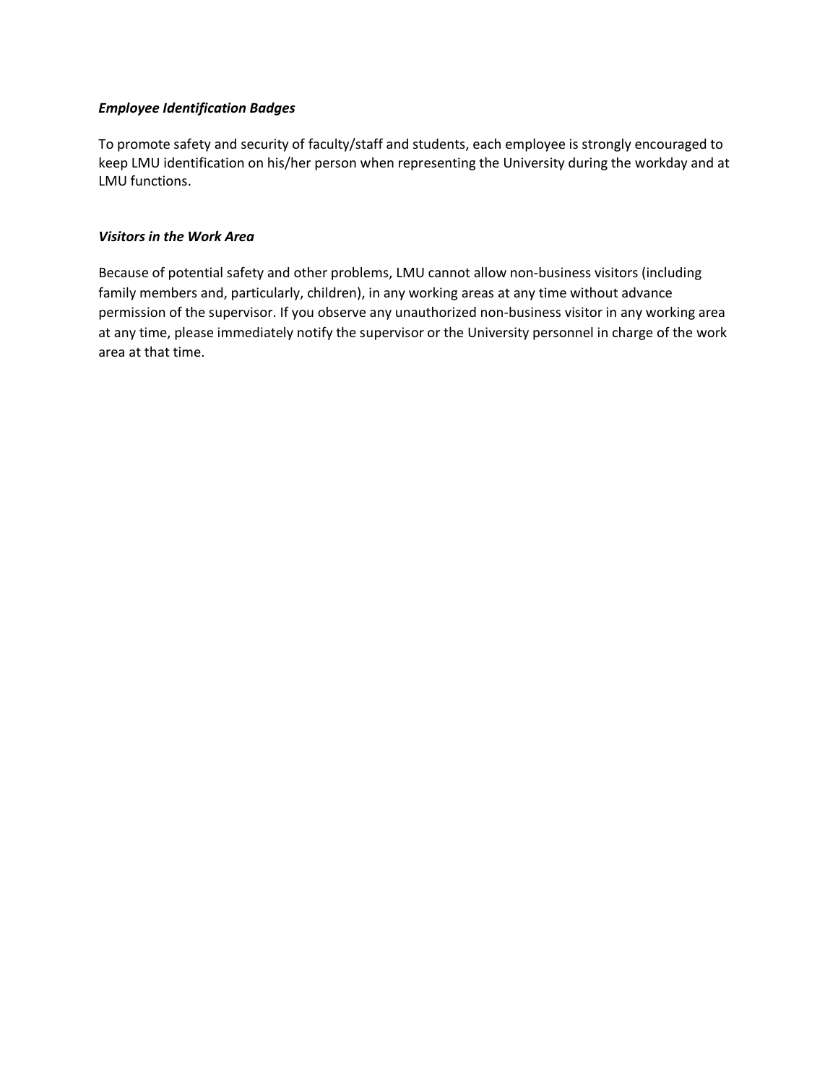#### *Employee Identification Badges*

To promote safety and security of faculty/staff and students, each employee is strongly encouraged to keep LMU identification on his/her person when representing the University during the workday and at LMU functions.

### *Visitors in the Work Area*

Because of potential safety and other problems, LMU cannot allow non-business visitors (including family members and, particularly, children), in any working areas at any time without advance permission of the supervisor. If you observe any unauthorized non-business visitor in any working area at any time, please immediately notify the supervisor or the University personnel in charge of the work area at that time.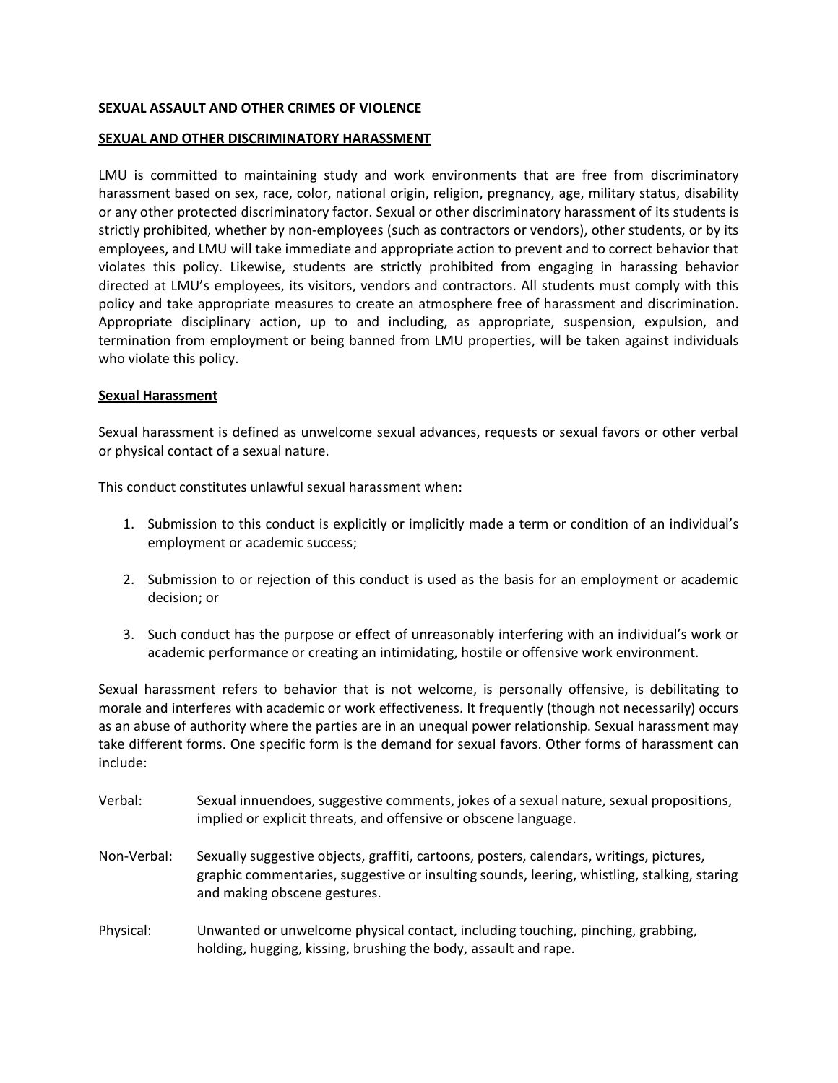## **SEXUAL ASSAULT AND OTHER CRIMES OF VIOLENCE**

## **SEXUAL AND OTHER DISCRIMINATORY HARASSMENT**

LMU is committed to maintaining study and work environments that are free from discriminatory harassment based on sex, race, color, national origin, religion, pregnancy, age, military status, disability or any other protected discriminatory factor. Sexual or other discriminatory harassment of its students is strictly prohibited, whether by non-employees (such as contractors or vendors), other students, or by its employees, and LMU will take immediate and appropriate action to prevent and to correct behavior that violates this policy. Likewise, students are strictly prohibited from engaging in harassing behavior directed at LMU's employees, its visitors, vendors and contractors. All students must comply with this policy and take appropriate measures to create an atmosphere free of harassment and discrimination. Appropriate disciplinary action, up to and including, as appropriate, suspension, expulsion, and termination from employment or being banned from LMU properties, will be taken against individuals who violate this policy.

#### **Sexual Harassment**

Sexual harassment is defined as unwelcome sexual advances, requests or sexual favors or other verbal or physical contact of a sexual nature.

This conduct constitutes unlawful sexual harassment when:

- 1. Submission to this conduct is explicitly or implicitly made a term or condition of an individual's employment or academic success;
- 2. Submission to or rejection of this conduct is used as the basis for an employment or academic decision; or
- 3. Such conduct has the purpose or effect of unreasonably interfering with an individual's work or academic performance or creating an intimidating, hostile or offensive work environment.

Sexual harassment refers to behavior that is not welcome, is personally offensive, is debilitating to morale and interferes with academic or work effectiveness. It frequently (though not necessarily) occurs as an abuse of authority where the parties are in an unequal power relationship. Sexual harassment may take different forms. One specific form is the demand for sexual favors. Other forms of harassment can include:

- Verbal: Sexual innuendoes, suggestive comments, jokes of a sexual nature, sexual propositions, implied or explicit threats, and offensive or obscene language.
- Non-Verbal: Sexually suggestive objects, graffiti, cartoons, posters, calendars, writings, pictures, graphic commentaries, suggestive or insulting sounds, leering, whistling, stalking, staring and making obscene gestures.
- Physical: Unwanted or unwelcome physical contact, including touching, pinching, grabbing, holding, hugging, kissing, brushing the body, assault and rape.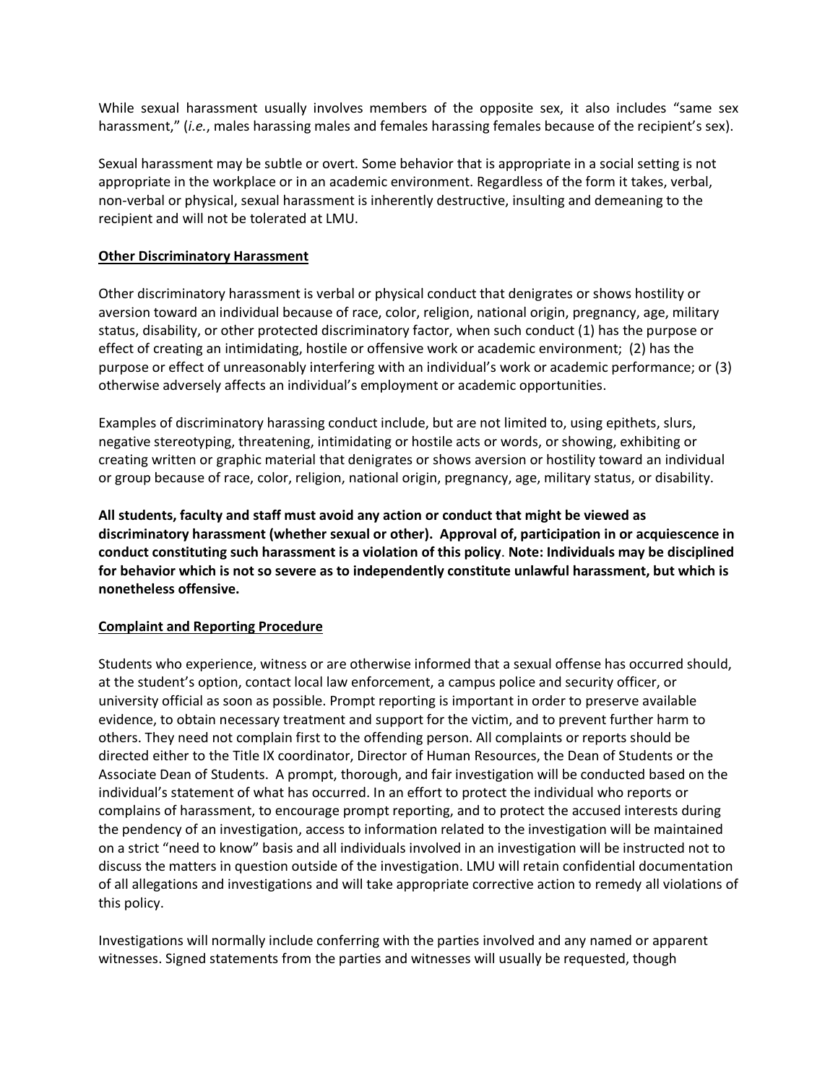While sexual harassment usually involves members of the opposite sex, it also includes "same sex harassment," (*i.e.*, males harassing males and females harassing females because of the recipient's sex).

Sexual harassment may be subtle or overt. Some behavior that is appropriate in a social setting is not appropriate in the workplace or in an academic environment. Regardless of the form it takes, verbal, non-verbal or physical, sexual harassment is inherently destructive, insulting and demeaning to the recipient and will not be tolerated at LMU.

#### **Other Discriminatory Harassment**

Other discriminatory harassment is verbal or physical conduct that denigrates or shows hostility or aversion toward an individual because of race, color, religion, national origin, pregnancy, age, military status, disability, or other protected discriminatory factor, when such conduct (1) has the purpose or effect of creating an intimidating, hostile or offensive work or academic environment; (2) has the purpose or effect of unreasonably interfering with an individual's work or academic performance; or (3) otherwise adversely affects an individual's employment or academic opportunities.

Examples of discriminatory harassing conduct include, but are not limited to, using epithets, slurs, negative stereotyping, threatening, intimidating or hostile acts or words, or showing, exhibiting or creating written or graphic material that denigrates or shows aversion or hostility toward an individual or group because of race, color, religion, national origin, pregnancy, age, military status, or disability.

**All students, faculty and staff must avoid any action or conduct that might be viewed as discriminatory harassment (whether sexual or other). Approval of, participation in or acquiescence in conduct constituting such harassment is a violation of this policy**. **Note: Individuals may be disciplined for behavior which is not so severe as to independently constitute unlawful harassment, but which is nonetheless offensive.**

## **Complaint and Reporting Procedure**

Students who experience, witness or are otherwise informed that a sexual offense has occurred should, at the student's option, contact local law enforcement, a campus police and security officer, or university official as soon as possible. Prompt reporting is important in order to preserve available evidence, to obtain necessary treatment and support for the victim, and to prevent further harm to others. They need not complain first to the offending person. All complaints or reports should be directed either to the Title IX coordinator, Director of Human Resources, the Dean of Students or the Associate Dean of Students. A prompt, thorough, and fair investigation will be conducted based on the individual's statement of what has occurred. In an effort to protect the individual who reports or complains of harassment, to encourage prompt reporting, and to protect the accused interests during the pendency of an investigation, access to information related to the investigation will be maintained on a strict "need to know" basis and all individuals involved in an investigation will be instructed not to discuss the matters in question outside of the investigation. LMU will retain confidential documentation of all allegations and investigations and will take appropriate corrective action to remedy all violations of this policy.

Investigations will normally include conferring with the parties involved and any named or apparent witnesses. Signed statements from the parties and witnesses will usually be requested, though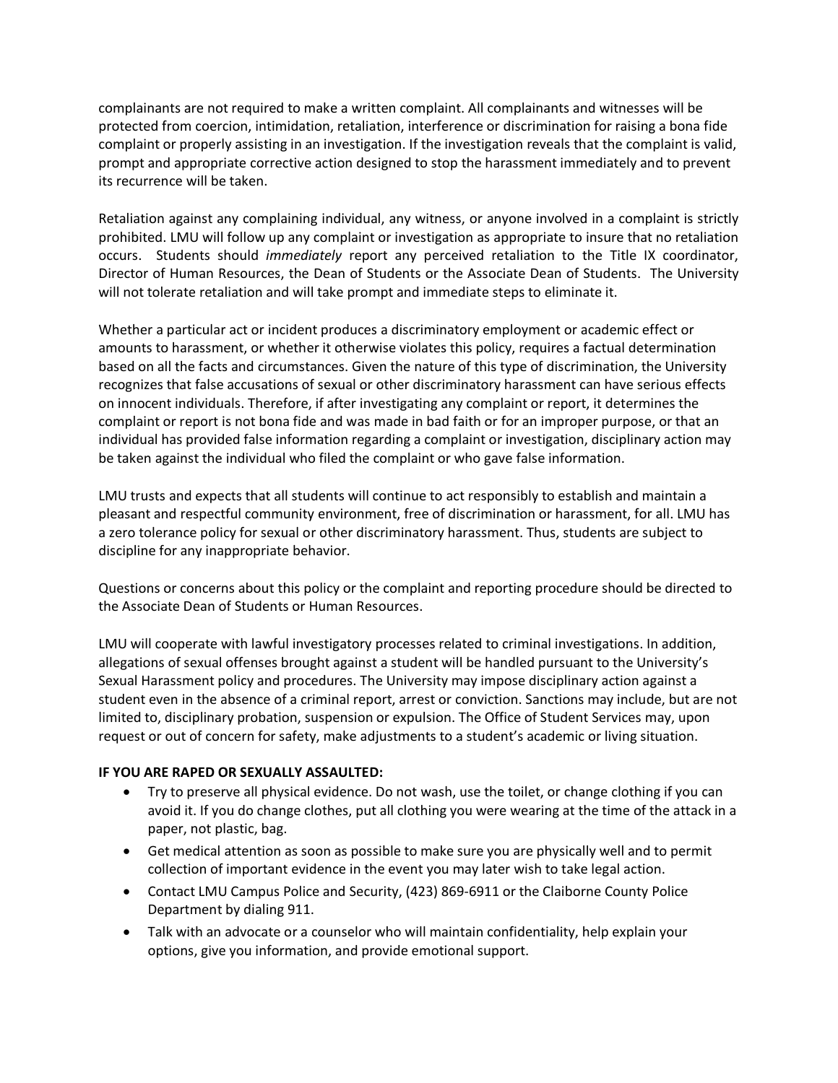complainants are not required to make a written complaint. All complainants and witnesses will be protected from coercion, intimidation, retaliation, interference or discrimination for raising a bona fide complaint or properly assisting in an investigation. If the investigation reveals that the complaint is valid, prompt and appropriate corrective action designed to stop the harassment immediately and to prevent its recurrence will be taken.

Retaliation against any complaining individual, any witness, or anyone involved in a complaint is strictly prohibited. LMU will follow up any complaint or investigation as appropriate to insure that no retaliation occurs. Students should *immediately* report any perceived retaliation to the Title IX coordinator, Director of Human Resources, the Dean of Students or the Associate Dean of Students. The University will not tolerate retaliation and will take prompt and immediate steps to eliminate it.

Whether a particular act or incident produces a discriminatory employment or academic effect or amounts to harassment, or whether it otherwise violates this policy, requires a factual determination based on all the facts and circumstances. Given the nature of this type of discrimination, the University recognizes that false accusations of sexual or other discriminatory harassment can have serious effects on innocent individuals. Therefore, if after investigating any complaint or report, it determines the complaint or report is not bona fide and was made in bad faith or for an improper purpose, or that an individual has provided false information regarding a complaint or investigation, disciplinary action may be taken against the individual who filed the complaint or who gave false information.

LMU trusts and expects that all students will continue to act responsibly to establish and maintain a pleasant and respectful community environment, free of discrimination or harassment, for all. LMU has a zero tolerance policy for sexual or other discriminatory harassment. Thus, students are subject to discipline for any inappropriate behavior.

Questions or concerns about this policy or the complaint and reporting procedure should be directed to the Associate Dean of Students or Human Resources.

LMU will cooperate with lawful investigatory processes related to criminal investigations. In addition, allegations of sexual offenses brought against a student will be handled pursuant to the University's Sexual Harassment policy and procedures. The University may impose disciplinary action against a student even in the absence of a criminal report, arrest or conviction. Sanctions may include, but are not limited to, disciplinary probation, suspension or expulsion. The Office of Student Services may, upon request or out of concern for safety, make adjustments to a student's academic or living situation.

## **IF YOU ARE RAPED OR SEXUALLY ASSAULTED:**

- Try to preserve all physical evidence. Do not wash, use the toilet, or change clothing if you can avoid it. If you do change clothes, put all clothing you were wearing at the time of the attack in a paper, not plastic, bag.
- Get medical attention as soon as possible to make sure you are physically well and to permit collection of important evidence in the event you may later wish to take legal action.
- Contact LMU Campus Police and Security, (423) 869-6911 or the Claiborne County Police Department by dialing 911.
- Talk with an advocate or a counselor who will maintain confidentiality, help explain your options, give you information, and provide emotional support.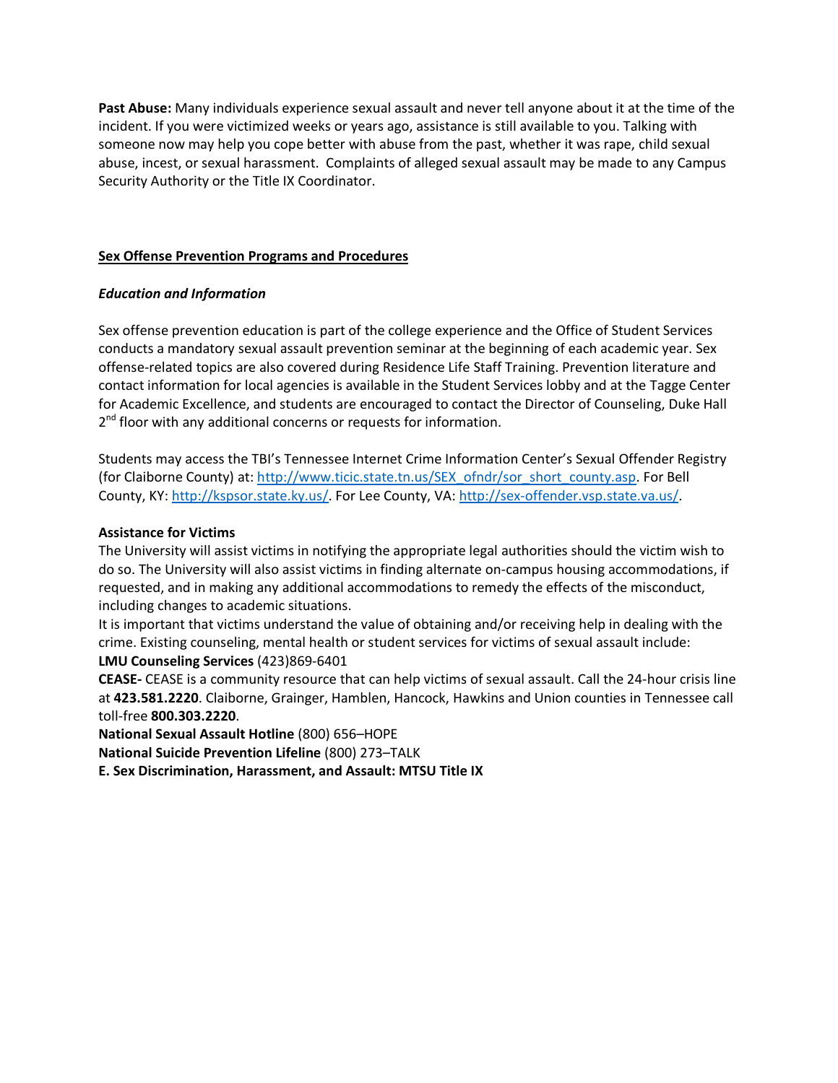**Past Abuse:** Many individuals experience sexual assault and never tell anyone about it at the time of the incident. If you were victimized weeks or years ago, assistance is still available to you. Talking with someone now may help you cope better with abuse from the past, whether it was rape, child sexual abuse, incest, or sexual harassment. Complaints of alleged sexual assault may be made to any Campus Security Authority or the Title IX Coordinator.

# **Sex Offense Prevention Programs and Procedures**

## *Education and Information*

Sex offense prevention education is part of the college experience and the Office of Student Services conducts a mandatory sexual assault prevention seminar at the beginning of each academic year. Sex offense-related topics are also covered during Residence Life Staff Training. Prevention literature and contact information for local agencies is available in the Student Services lobby and at the Tagge Center for Academic Excellence, and students are encouraged to contact the Director of Counseling, Duke Hall  $2<sup>nd</sup>$  floor with any additional concerns or requests for information.

Students may access the TBI's Tennessee Internet Crime Information Center's Sexual Offender Registry (for Claiborne County) at: [http://www.ticic.state.tn.us/SEX\\_ofndr/sor\\_short\\_county.asp.](http://www.ticic.state.tn.us/SEX_ofndr/sor_short_county.asp) For Bell County, KY[: http://kspsor.state.ky.us/.](http://kspsor.state.ky.us/) For Lee County, VA[: http://sex-offender.vsp.state.va.us/.](http://sex-offender.vsp.state.va.us/)

## **Assistance for Victims**

The University will assist victims in notifying the appropriate legal authorities should the victim wish to do so. The University will also assist victims in finding alternate on-campus housing accommodations, if requested, and in making any additional accommodations to remedy the effects of the misconduct, including changes to academic situations.

It is important that victims understand the value of obtaining and/or receiving help in dealing with the crime. Existing counseling, mental health or student services for victims of sexual assault include: **LMU Counseling Services** (423)869-6401

**CEASE-** CEASE is a community resource that can help victims of sexual assault. Call the 24-hour crisis line at **423.581.2220**. Claiborne, Grainger, Hamblen, Hancock, Hawkins and Union counties in Tennessee call toll-free **800.303.2220**.

**National Sexual Assault Hotline** (800) 656–HOPE

**National Suicide Prevention Lifeline** (800) 273–TALK

**E. Sex Discrimination, Harassment, and Assault: MTSU Title IX**